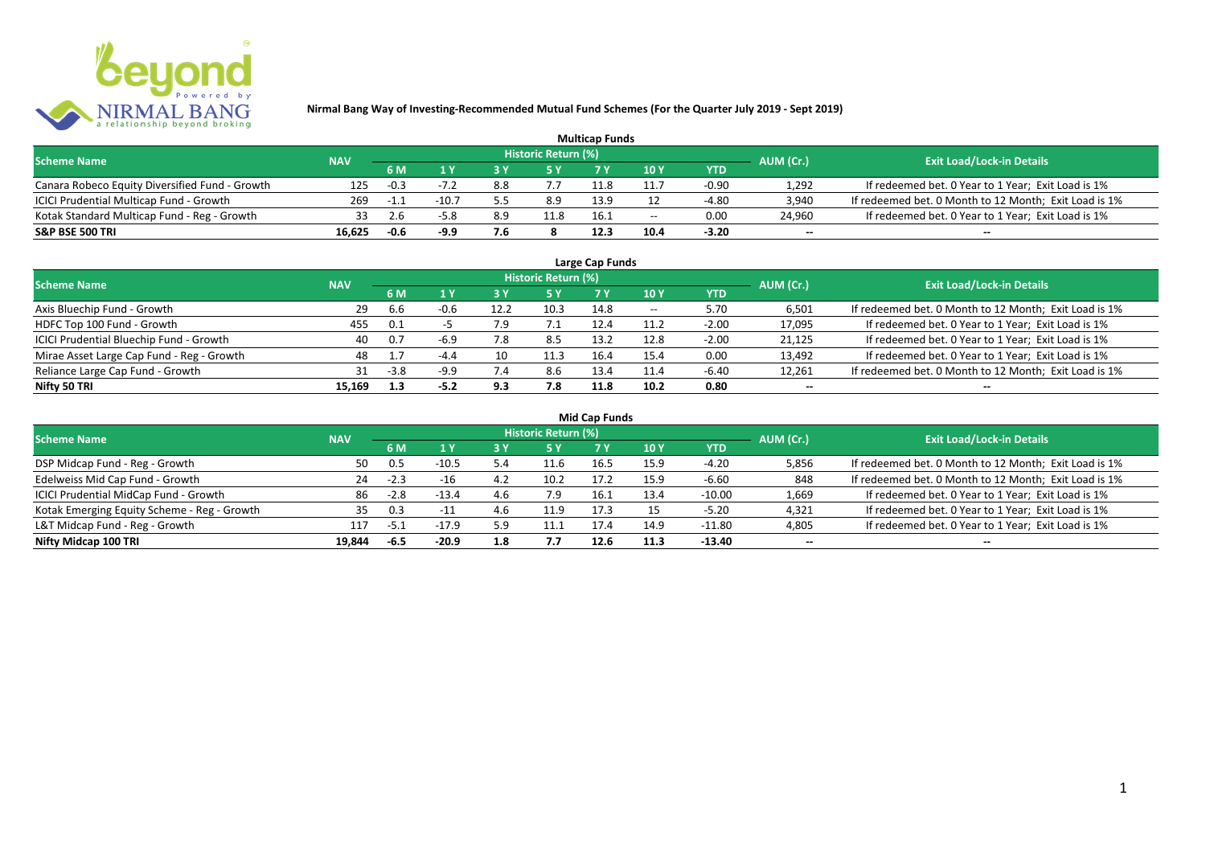

| <b>Multicap Funds</b>                          |            |        |         |     |                            |      |                          |         |                          |                                                       |  |  |
|------------------------------------------------|------------|--------|---------|-----|----------------------------|------|--------------------------|---------|--------------------------|-------------------------------------------------------|--|--|
| <b>Scheme Name</b>                             | <b>NAV</b> |        |         |     | <b>Historic Return (%)</b> |      |                          |         | AUM (Cr.)                | <b>Exit Load/Lock-in Details</b>                      |  |  |
|                                                |            | 6 M    |         |     |                            |      | 10Y                      | YTD     |                          |                                                       |  |  |
| Canara Robeco Equity Diversified Fund - Growth | 125        | $-0.3$ |         | 8.8 |                            |      |                          | -0.90   | 1,292                    | If redeemed bet. 0 Year to 1 Year; Exit Load is 1%    |  |  |
| ICICI Prudential Multicap Fund - Growth        | 269        | - 1. . | $-10.7$ |     | 8.9                        | 13.9 |                          | -4.80   | 3,940                    | If redeemed bet. 0 Month to 12 Month; Exit Load is 1% |  |  |
| Kotak Standard Multicap Fund - Reg - Growth    |            |        | $-5.8$  | 8.9 | 11.8                       | 16.1 | $\overline{\phantom{a}}$ | 0.00    | 24,960                   | If redeemed bet. 0 Year to 1 Year; Exit Load is 1%    |  |  |
| S&P BSE 500 TRI                                | 16.625     | $-0.6$ | -9.9    | 7.6 |                            | 12.3 |                          | $-3.20$ | $\overline{\phantom{a}}$ | $\overline{\phantom{a}}$                              |  |  |

| Large Cap Funds<br>Historic Return (%)    |            |        |        |      |      |      |       |            |                          |                                                       |  |  |  |
|-------------------------------------------|------------|--------|--------|------|------|------|-------|------------|--------------------------|-------------------------------------------------------|--|--|--|
| <b>Scheme Name</b>                        | <b>NAV</b> |        |        |      |      |      |       |            | AUM (Cr.)                | <b>Exit Load/Lock-in Details</b>                      |  |  |  |
|                                           |            | 6 M    | 1 Y    |      | 5 Y  |      | 10Y   | <b>YTD</b> |                          |                                                       |  |  |  |
| Axis Bluechip Fund - Growth               | 29         | 6.6    | $-0.6$ | 12.2 | 10.3 | 14.8 | $- -$ | 5.70       | 6,501                    | If redeemed bet. 0 Month to 12 Month; Exit Load is 1% |  |  |  |
| HDFC Top 100 Fund - Growth                | 455        | 0.1    |        |      |      | 12.4 | 11.2  | $-2.00$    | 17,095                   | If redeemed bet. 0 Year to 1 Year; Exit Load is 1%    |  |  |  |
| ICICI Prudential Bluechip Fund - Growth   | 40         | 0.7    | $-6.9$ |      | 8.5  | 13.2 | 12.8  | $-2.00$    | 21,125                   | If redeemed bet. 0 Year to 1 Year; Exit Load is 1%    |  |  |  |
| Mirae Asset Large Cap Fund - Reg - Growth | 48         |        | $-4.4$ | 10   | 11.3 | 16.4 | 15.4  | 0.00       | 13,492                   | If redeemed bet. 0 Year to 1 Year; Exit Load is 1%    |  |  |  |
| Reliance Large Cap Fund - Growth          |            | $-3.8$ | $-9.9$ |      | 8.6  | 13.4 | 11.4  | $-6.40$    | 12,261                   | If redeemed bet. 0 Month to 12 Month; Exit Load is 1% |  |  |  |
| Nifty 50 TRI                              | 15.169     | 1.3    | $-5.2$ | 9.3  | 7.8  | 11.8 | 10.2  | 0.80       | $\overline{\phantom{a}}$ | $\overline{\phantom{a}}$                              |  |  |  |

| <b>Mid Cap Funds</b> |  |  |
|----------------------|--|--|
|----------------------|--|--|

| <b>Scheme Name</b>                          | <b>NAV</b> |        |         |     | <b>Historic Return (%)</b> |      |      |            | AUM (Cr.)                | <b>Exit Load/Lock-in Details</b>                      |
|---------------------------------------------|------------|--------|---------|-----|----------------------------|------|------|------------|--------------------------|-------------------------------------------------------|
|                                             |            | 6 M    |         |     | 15 Y                       |      | 10 Y | <b>YTD</b> |                          |                                                       |
| DSP Midcap Fund - Reg - Growth              | 50         | 0.5    | $-10.5$ | 5.4 | 11.6                       | 16.5 | 15.9 | $-4.20$    | 5,856                    | If redeemed bet. 0 Month to 12 Month; Exit Load is 1% |
| Edelweiss Mid Cap Fund - Growth             | 24         | $-2.3$ | $-16$   | 4.2 | 10.2                       | 17.2 | 15.9 | $-6.60$    | 848                      | If redeemed bet. 0 Month to 12 Month; Exit Load is 1% |
| ICICI Prudential MidCap Fund - Growth       | 86         | $-2.8$ | $-13.4$ | 4.6 |                            | 16.1 | 13.4 | $-10.00$   | 1,669                    | If redeemed bet. 0 Year to 1 Year; Exit Load is 1%    |
| Kotak Emerging Equity Scheme - Reg - Growth | 35         | 0.3    | $-11$   |     |                            | 17.3 |      | $-5.20$    | 4,321                    | If redeemed bet. 0 Year to 1 Year; Exit Load is 1%    |
| L&T Midcap Fund - Reg - Growth              | 117        | -5.⊥   | $-17.9$ | 5.9 | 11.1                       |      | 14.9 | $-11.80$   | 4,805                    | If redeemed bet. 0 Year to 1 Year; Exit Load is 1%    |
| Nifty Midcap 100 TRI                        | 19.844     | -6.5   | $-20.9$ | 1.8 | 7.7                        | 12.6 | 11.3 | $-13.40$   | $\overline{\phantom{a}}$ | $- -$                                                 |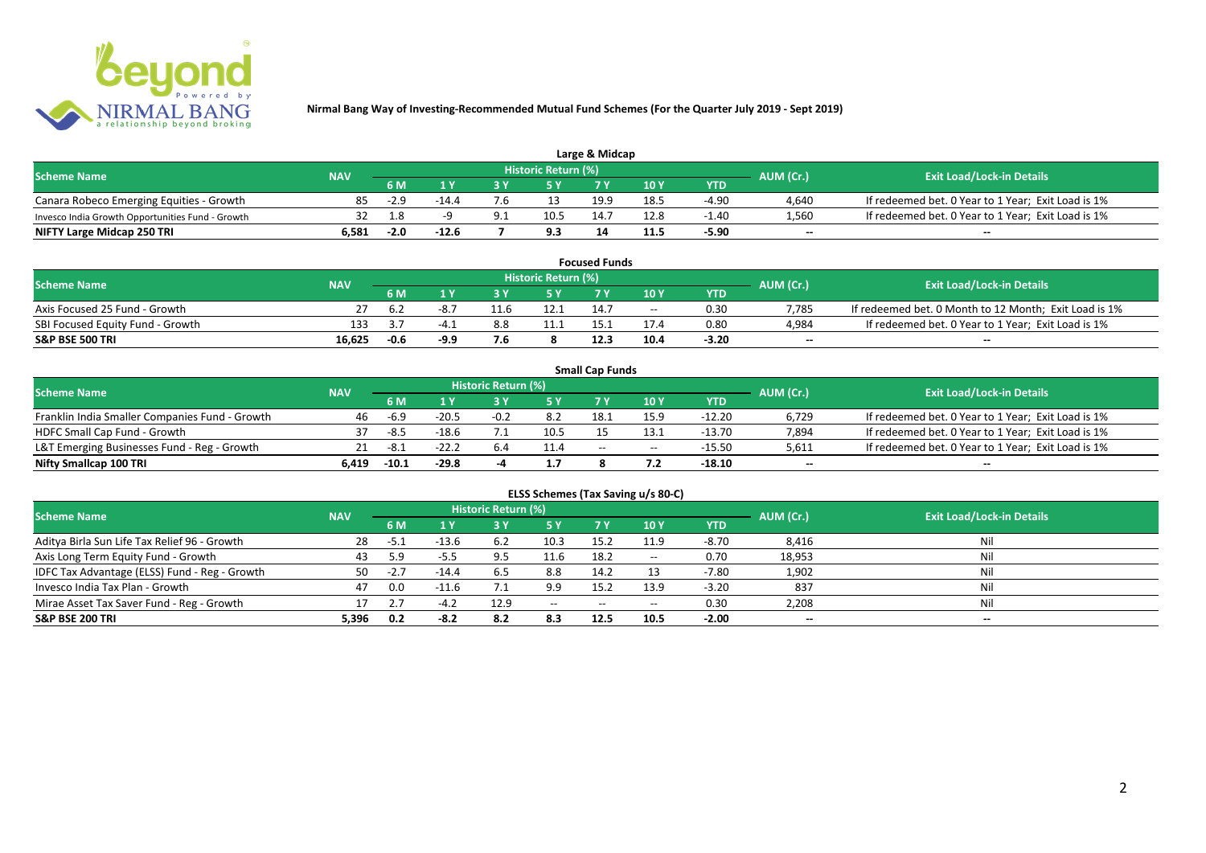

| Large & Midcap                                   |            |        |         |     |                     |      |       |         |           |                                                    |  |  |
|--------------------------------------------------|------------|--------|---------|-----|---------------------|------|-------|---------|-----------|----------------------------------------------------|--|--|
| <b>Scheme Name</b>                               | <b>NAV</b> |        |         |     | Historic Return (%) |      |       |         | AUM (Cr.) | <b>Exit Load/Lock-in Details</b>                   |  |  |
|                                                  |            | 6 M    |         |     |                     |      | 10Y   | YTD     |           |                                                    |  |  |
| Canara Robeco Emerging Equities - Growth         | 85         | $-2.9$ | $-14.4$ | '.b | 13                  | 19.9 | 18. L | $-4.90$ | 4,640     | If redeemed bet. 0 Year to 1 Year; Exit Load is 1% |  |  |
| Invesco India Growth Opportunities Fund - Growth |            | 1.8    |         |     | 10.5                |      | 12.8  | $-1.40$ | 1,560     | If redeemed bet. 0 Year to 1 Year; Exit Load is 1% |  |  |
| NIFTY Large Midcap 250 TRI                       | 6.581      | $-2.0$ | -12.6   |     | 9.3                 |      | 11.5  | $-5.90$ | $-$       | $- -$                                              |  |  |

| <b>Focused Funds</b>             |            |      |      |      |                     |      |       |            |                          |                                                       |  |
|----------------------------------|------------|------|------|------|---------------------|------|-------|------------|--------------------------|-------------------------------------------------------|--|
| <b>Scheme Name</b>               | <b>NAV</b> |      |      |      | Historic Return (%) |      |       |            | AUM (Cr.)                | <b>Exit Load/Lock-in Details</b>                      |  |
|                                  |            | 6 M  |      | ע כ  | E V                 |      | 10 Y  | <b>YTD</b> |                          |                                                       |  |
| Axis Focused 25 Fund - Growth    |            | 6.2  | -8.7 |      | 12.1                |      | $- -$ | 0.30       | 7.785                    | If redeemed bet. 0 Month to 12 Month; Exit Load is 1% |  |
| SBI Focused Equity Fund - Growth | 133        | -4.  | -4   | 8.8  | 11.1                |      |       | 0.80       | 4,984                    | If redeemed bet. 0 Year to 1 Year; Exit Load is 1%    |  |
| S&P BSE 500 TRI                  | 16.625     | -0.6 | -9.9 | 7.Б. |                     | 12.3 | 10.4  | $-3.20$    | $\overline{\phantom{a}}$ | $- -$                                                 |  |

|                                                |            |         |         |                     |      | <b>Small Cap Funds</b> |                                       |          |                          |                                                    |
|------------------------------------------------|------------|---------|---------|---------------------|------|------------------------|---------------------------------------|----------|--------------------------|----------------------------------------------------|
| <b>Scheme Name</b>                             | <b>NAV</b> |         |         | Historic Return (%) |      |                        |                                       |          | AUM (Cr.)                | <b>Exit Load/Lock-in Details</b>                   |
|                                                |            | 6 M     |         |                     |      |                        | 10 Y                                  | YTD      |                          |                                                    |
| Franklin India Smaller Companies Fund - Growth | 46         | -6.9    | $-20.5$ | $-0.2$              | 8.2  | 18.3                   | 15.9                                  | $-12.20$ | 6,729                    | If redeemed bet. 0 Year to 1 Year; Exit Load is 1% |
| HDFC Small Cap Fund - Growth                   | 37         | -8.5    | $-18.6$ |                     | 10.5 |                        |                                       | $-13.70$ | 7,894                    | If redeemed bet. 0 Year to 1 Year; Exit Load is 1% |
| L&T Emerging Businesses Fund - Reg - Growth    |            | -8.1    | $-22.2$ | 6.4                 | 11.4 | $-$                    | $\hspace{0.05cm}$ – $\hspace{0.05cm}$ | $-15.50$ | 5,611                    | If redeemed bet. 0 Year to 1 Year; Exit Load is 1% |
| Nifty Smallcap 100 TRI                         | 6.419      | $-10.1$ | $-29.8$ |                     |      |                        |                                       | -18.10   | $\overline{\phantom{a}}$ | $-$                                                |

| ELSS Schemes (Tax Saving u/s 80-C)            |            |        |         |                     |       |           |                                       |            |                          |                                  |  |  |  |
|-----------------------------------------------|------------|--------|---------|---------------------|-------|-----------|---------------------------------------|------------|--------------------------|----------------------------------|--|--|--|
| <b>Scheme Name</b>                            | <b>NAV</b> |        |         | Historic Return (%) |       |           |                                       |            | AUM (Cr.)                | <b>Exit Load/Lock-in Details</b> |  |  |  |
|                                               |            | 6 M    | 1 Y     | 3 Y                 | 75 Y  | <b>7Y</b> | 10Y                                   | <b>YTD</b> |                          |                                  |  |  |  |
| Aditya Birla Sun Life Tax Relief 96 - Growth  | -28        | $-5.1$ | $-13.6$ | 6.2                 | 10.3  | 15.2      | 11.9                                  | $-8.70$    | 8,416                    | Nil                              |  |  |  |
| Axis Long Term Equity Fund - Growth           | 43         | 5.9    | $-5.5$  |                     | 11.6  | 18.2      | $\hspace{0.05cm}$ – $\hspace{0.05cm}$ | 0.70       | 18,953                   | Nil                              |  |  |  |
| IDFC Tax Advantage (ELSS) Fund - Reg - Growth | 50.        | $-2.7$ | $-14.4$ | 6.5                 | 8.8   | 14.2      |                                       | $-7.80$    | 1,902                    | Nil                              |  |  |  |
| Invesco India Tax Plan - Growth               | 47         | 0.0    | $-11.6$ |                     | 9.9   | 15.2      | 13.9                                  | $-3.20$    | 837                      | Nil                              |  |  |  |
| Mirae Asset Tax Saver Fund - Reg - Growth     |            |        |         | 12.9                | $- -$ | $- -$     | $- -$                                 | 0.30       | 2,208                    | Nil                              |  |  |  |
| S&P BSE 200 TRI                               | 5,396      | 0.2    | $-8.2$  | 8.2                 | 8.3   | 12.5      | 10.5                                  | $-2.00$    | $\overline{\phantom{a}}$ | $\!-$                            |  |  |  |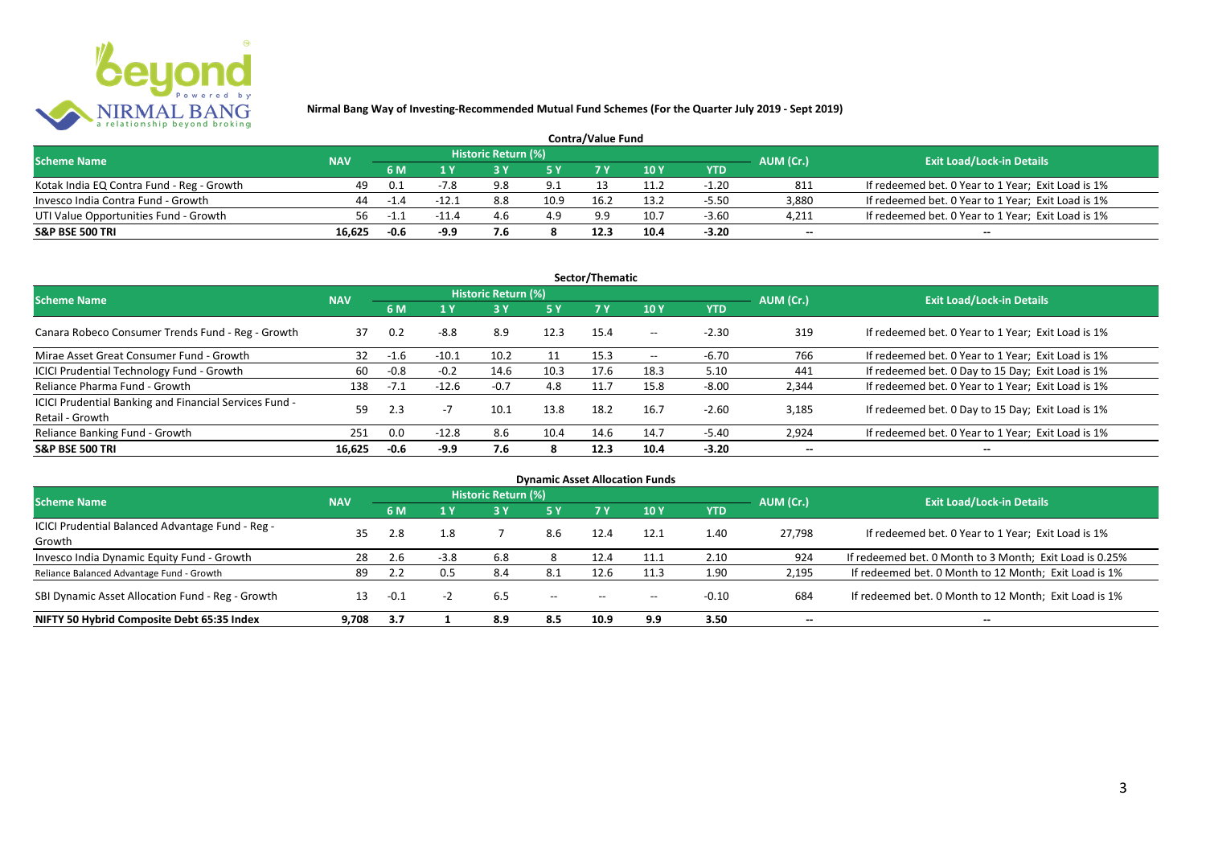

| <b>Contra/Value Fund</b>                  |            |             |         |                     |      |      |      |         |           |                                                    |  |  |
|-------------------------------------------|------------|-------------|---------|---------------------|------|------|------|---------|-----------|----------------------------------------------------|--|--|
| <b>Scheme Name</b>                        | <b>NAV</b> |             |         | Historic Return (%) |      |      |      |         | AUM (Cr.) | <b>Exit Load/Lock-in Details</b>                   |  |  |
|                                           |            | 6 M         |         |                     |      |      | 10Y  | YTD     |           |                                                    |  |  |
| Kotak India EQ Contra Fund - Reg - Growth | 49         | - 0.1       | -7.8    | 9.8                 | 9.1  |      | 11.2 | $-1.20$ | 811       | If redeemed bet. 0 Year to 1 Year; Exit Load is 1% |  |  |
| Invesco India Contra Fund - Growth        | 44         | $-1.4$      | $-12.$  | 8.8                 | 10.9 | 16.2 | 13.2 | $-5.50$ | 3,880     | If redeemed bet. 0 Year to 1 Year; Exit Load is 1% |  |  |
| UTI Value Opportunities Fund - Growth     | 56         | $-1$ $\sim$ | $-11.4$ | 4.b                 | 4.9  | 9.9  | 10.7 | $-3.60$ | 4,211     | If redeemed bet. 0 Year to 1 Year; Exit Load is 1% |  |  |
| <b>S&amp;P BSE 500 TRI</b>                | 16.625     | $-0.6$      | -9.9    |                     |      |      | 10.4 | $-3.20$ | $- -$     | $-$                                                |  |  |

|                                                                           |            |        |         |                     |           | Sector/Thematic |                   |            |                          |                                                    |
|---------------------------------------------------------------------------|------------|--------|---------|---------------------|-----------|-----------------|-------------------|------------|--------------------------|----------------------------------------------------|
| <b>Scheme Name</b>                                                        | <b>NAV</b> |        |         | Historic Return (%) |           |                 |                   |            | AUM (Cr.)                | <b>Exit Load/Lock-in Details</b>                   |
|                                                                           |            | 6 M    | 1 Y     | 3 ١                 | <b>5Y</b> | <b>7Y</b>       | 10Y               | <b>YTD</b> |                          |                                                    |
| Canara Robeco Consumer Trends Fund - Reg - Growth                         | 37         | 0.2    | $-8.8$  | 8.9                 | 12.3      | 15.4            | $- -$             | $-2.30$    | 319                      | If redeemed bet. 0 Year to 1 Year; Exit Load is 1% |
| Mirae Asset Great Consumer Fund - Growth                                  | 32         | -1.6   | $-10.1$ | 10.2                |           | 15.3            | $\hspace{0.05cm}$ | $-6.70$    | 766                      | If redeemed bet. 0 Year to 1 Year; Exit Load is 1% |
| ICICI Prudential Technology Fund - Growth                                 | 60         | $-0.8$ | $-0.2$  | 14.6                | 10.3      | 17.6            | 18.3              | 5.10       | 441                      | If redeemed bet. 0 Day to 15 Day; Exit Load is 1%  |
| Reliance Pharma Fund - Growth                                             | 138        | $-7.1$ | $-12.6$ | $-0.7$              | 4.8       | 11.7            | 15.8              | $-8.00$    | 2,344                    | If redeemed bet. 0 Year to 1 Year; Exit Load is 1% |
| ICICI Prudential Banking and Financial Services Fund -<br>Retail - Growth | 59         | 2.3    | $-1$    | 10.1                | 13.8      | 18.2            | 16.7              | $-2.60$    | 3.185                    | If redeemed bet. 0 Day to 15 Day; Exit Load is 1%  |
| Reliance Banking Fund - Growth                                            | 251        | 0.0    | $-12.8$ | 8.6                 | 10.4      | 14.6            | 14.7              | $-5.40$    | 2,924                    | If redeemed bet. 0 Year to 1 Year; Exit Load is 1% |
| <b>S&amp;P BSE 500 TRI</b>                                                | 16.625     | $-0.6$ | -9.9    | 7.6                 | 8         | 12.3            | 10.4              | $-3.20$    | $\overline{\phantom{a}}$ | $- -$                                              |

|                                                            |            |      |        |                            |                                       |       | <b>Dynamic Asset Allocation Funds</b> |            |                          |                                                         |
|------------------------------------------------------------|------------|------|--------|----------------------------|---------------------------------------|-------|---------------------------------------|------------|--------------------------|---------------------------------------------------------|
| <b>Scheme Name</b>                                         | <b>NAV</b> |      |        | <b>Historic Return (%)</b> |                                       |       |                                       |            | AUM (Cr.)                | <b>Exit Load/Lock-in Details</b>                        |
|                                                            |            | 6 M  | 1 Y    | 3 Y                        | 5 Y                                   |       | 10Y                                   | <b>YTD</b> |                          |                                                         |
| ICICI Prudential Balanced Advantage Fund - Reg -<br>Growth | 35         | 2.8  | 1.8    |                            | 8.6                                   | 12.4  | 12.1                                  | 1.40       | 27.798                   | If redeemed bet. 0 Year to 1 Year; Exit Load is 1%      |
| Invesco India Dynamic Equity Fund - Growth                 | 28         | 2.6  | $-3.8$ | 6.8                        |                                       | 12.4  | 11.1                                  | 2.10       | 924                      | If redeemed bet. 0 Month to 3 Month; Exit Load is 0.25% |
| Reliance Balanced Advantage Fund - Growth                  | 89         | 2.2  | 0.5    | 8.4                        | 8.1                                   | 12.6  | 11.3                                  | 1.90       | 2,195                    | If redeemed bet. 0 Month to 12 Month; Exit Load is 1%   |
| SBI Dynamic Asset Allocation Fund - Reg - Growth           |            | -0.1 |        | 6.5                        | $\hspace{0.05cm}$ – $\hspace{0.05cm}$ | $- -$ | $- -$                                 | $-0.10$    | 684                      | If redeemed bet. 0 Month to 12 Month; Exit Load is 1%   |
| NIFTY 50 Hybrid Composite Debt 65:35 Index                 | 9.708      | 3.7  |        | 8.9                        | 8.5                                   | 10.9  | 9.9                                   | 3.50       | $\overline{\phantom{a}}$ | $- -$                                                   |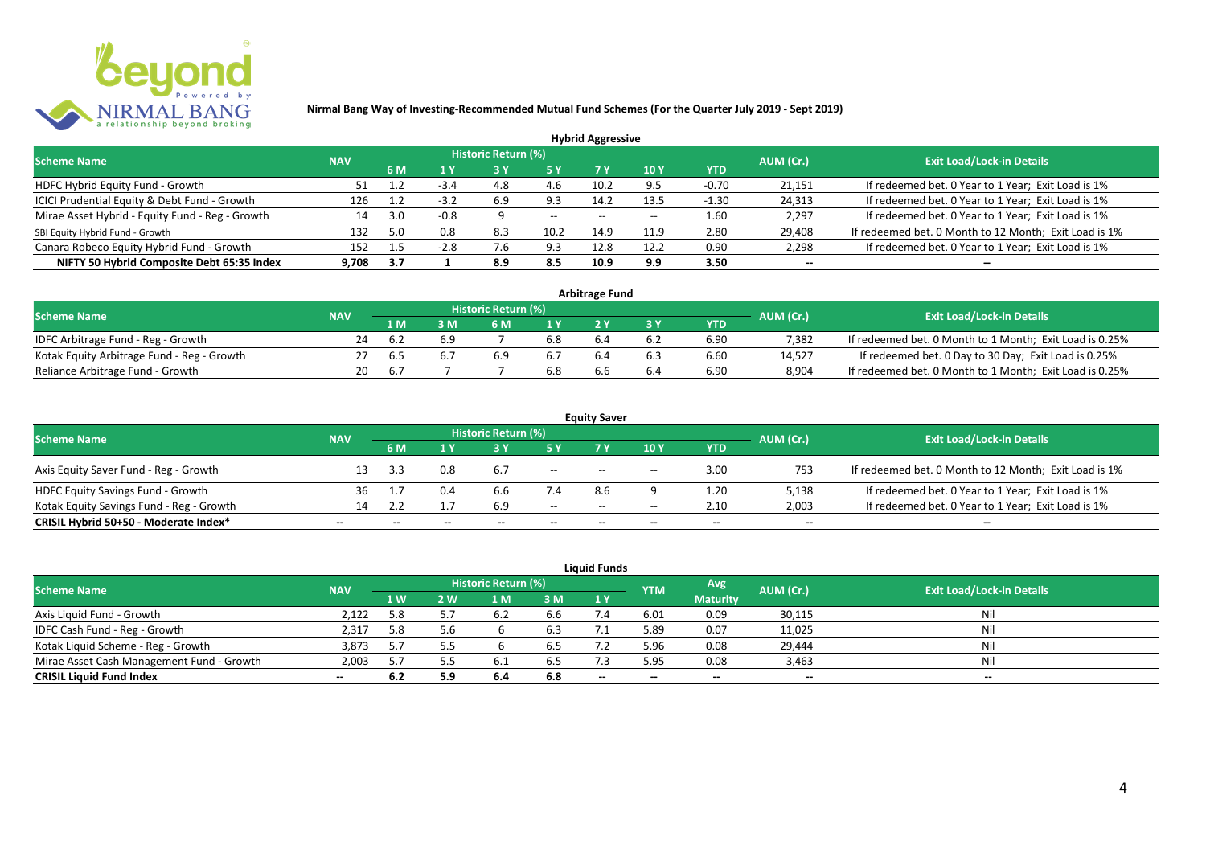

|                                                 |            |       |        |                            |           | <b>Hybrid Aggressive</b> |                          |            |                          |                                                       |
|-------------------------------------------------|------------|-------|--------|----------------------------|-----------|--------------------------|--------------------------|------------|--------------------------|-------------------------------------------------------|
| <b>Scheme Name</b>                              | <b>NAV</b> |       |        | <b>Historic Return (%)</b> |           |                          |                          |            | AUM (Cr.)                | <b>Exit Load/Lock-in Details</b>                      |
|                                                 |            | 6 M   | 1 Y    |                            | <b>5Y</b> | 7 Y                      | <b>10Y</b>               | <b>YTD</b> |                          |                                                       |
| HDFC Hybrid Equity Fund - Growth                | 51         |       | $-3.4$ | 4.8                        | 4.6       | 10.2                     | 9.5                      | $-0.70$    | 21,151                   | If redeemed bet. 0 Year to 1 Year; Exit Load is 1%    |
| ICICI Prudential Equity & Debt Fund - Growth    | 126        |       | $-3.2$ | 6.9                        | 9.3       | 14.2                     | 13.5                     | $-1.30$    | 24,313                   | If redeemed bet. 0 Year to 1 Year; Exit Load is 1%    |
| Mirae Asset Hybrid - Equity Fund - Reg - Growth | 14         | 3.0   | $-0.8$ |                            | $- -$     | $- -$                    | $\overline{\phantom{a}}$ | 1.60       | 2,297                    | If redeemed bet. 0 Year to 1 Year; Exit Load is 1%    |
| SBI Equity Hybrid Fund - Growth                 | 132        | 5.0   | 0.8    | 8.3                        | 10.2      | 14.9                     | 11.9                     | 2.80       | 29,408                   | If redeemed bet. 0 Month to 12 Month; Exit Load is 1% |
| Canara Robeco Equity Hybrid Fund - Growth       | 152        |       | $-2.8$ | /.ხ                        | 9.3       | 12.8                     | 12.2                     | 0.90       | 2,298                    | If redeemed bet. 0 Year to 1 Year; Exit Load is 1%    |
| NIFTY 50 Hybrid Composite Debt 65:35 Index      | 9.708      | - 3.7 |        | 8.9                        | 8.5       | 10.9                     | 9.9                      | 3.50       | $\overline{\phantom{a}}$ | $\overline{\phantom{a}}$                              |

| <b>Arbitrage Fund</b>                      |            |     |     |                     |     |  |     |            |           |                                                         |  |  |  |  |
|--------------------------------------------|------------|-----|-----|---------------------|-----|--|-----|------------|-----------|---------------------------------------------------------|--|--|--|--|
| <b>Scheme Name</b>                         | <b>NAV</b> |     |     | Historic Return (%) |     |  |     |            | AUM (Cr.) | <b>Exit Load/Lock-in Details</b>                        |  |  |  |  |
|                                            |            | 1 M |     | 6 M                 |     |  |     | <b>YTD</b> |           |                                                         |  |  |  |  |
| IDFC Arbitrage Fund - Reg - Growth         | 24         |     | 6.9 |                     | 6.8 |  | 6.2 | 6.90       | 7.382     | If redeemed bet. 0 Month to 1 Month; Exit Load is 0.25% |  |  |  |  |
| Kotak Equity Arbitrage Fund - Reg - Growth |            | 6.5 |     | 6.9                 |     |  | 6.3 | 6.60       | 14.527    | If redeemed bet. 0 Day to 30 Day; Exit Load is 0.25%    |  |  |  |  |
| Reliance Arbitrage Fund - Growth           | 20         |     |     |                     | 6.8 |  | 6.4 | 6.90       | 8.904     | If redeemed bet. 0 Month to 1 Month; Exit Load is 0.25% |  |  |  |  |

|                                          |                          |     |              |                     |                          | <b>Equity Saver</b>                   |                                       |                          |                          |                                                       |
|------------------------------------------|--------------------------|-----|--------------|---------------------|--------------------------|---------------------------------------|---------------------------------------|--------------------------|--------------------------|-------------------------------------------------------|
| <b>Scheme Name</b>                       | <b>NAV</b>               |     |              | Historic Return (%) |                          |                                       |                                       |                          | AUM (Cr.)                | <b>Exit Load/Lock-in Details</b>                      |
|                                          |                          | 6 M |              |                     |                          |                                       | 10 Y                                  | YTD                      |                          |                                                       |
| Axis Equity Saver Fund - Reg - Growth    |                          |     | 0.8          | 6.7                 | $\overline{\phantom{a}}$ | $- -$                                 | $\hspace{0.05cm}$ – $\hspace{0.05cm}$ | 3.00                     | 753                      | If redeemed bet. 0 Month to 12 Month; Exit Load is 1% |
| HDFC Equity Savings Fund - Growth        | 36                       |     | 0.4          | b.c                 | 7.4                      | 8.6                                   |                                       | 1.20                     | 5,138                    | If redeemed bet. 0 Year to 1 Year; Exit Load is 1%    |
| Kotak Equity Savings Fund - Reg - Growth | 14.                      |     |              | 6.9                 | $- -$                    | $\hspace{0.05cm}$ – $\hspace{0.05cm}$ | $\overline{\phantom{a}}$              | 2.10                     | 2,003                    | If redeemed bet. 0 Year to 1 Year; Exit Load is 1%    |
| CRISIL Hybrid 50+50 - Moderate Index*    | $\overline{\phantom{a}}$ |     | $\mathbf{m}$ | $- -$               | $\overline{\phantom{a}}$ | $- -$                                 | $\overline{\phantom{a}}$              | $\overline{\phantom{a}}$ | $\overline{\phantom{a}}$ | $\overline{\phantom{a}}$                              |

| <b>Liquid Funds</b>                       |            |     |     |                     |     |       |            |                 |                          |                                  |  |  |  |  |
|-------------------------------------------|------------|-----|-----|---------------------|-----|-------|------------|-----------------|--------------------------|----------------------------------|--|--|--|--|
| <b>Scheme Name</b>                        | <b>NAV</b> |     |     | Historic Return (%) |     |       | <b>YTM</b> | Avg             | AUM (Cr.)                | <b>Exit Load/Lock-in Details</b> |  |  |  |  |
|                                           |            | 1 W | 2 W | 1 M                 | 3 M | 1Y    |            | <b>Maturity</b> |                          |                                  |  |  |  |  |
| Axis Liquid Fund - Growth                 | 2.122      | 5.8 | 5.7 |                     | 6.6 |       | 6.01       | 0.09            | 30,115                   | Nil                              |  |  |  |  |
| IDFC Cash Fund - Reg - Growth             | 2,317      | 5.8 | 5.6 |                     | 6.3 |       | 5.89       | 0.07            | 11,025                   | Nil                              |  |  |  |  |
| Kotak Liquid Scheme - Reg - Growth        | 3,873      | 5.7 | 5.5 |                     | 6.5 |       | 5.96       | 0.08            | 29,444                   | Nil                              |  |  |  |  |
| Mirae Asset Cash Management Fund - Growth | 2,003      | 5.7 |     |                     | 6.5 |       | 5.95       | 0.08            | 3,463                    | Nil                              |  |  |  |  |
| <b>CRISIL Liquid Fund Index</b>           | $- -$      | 6.2 | 5.9 | 6.4                 | 6.8 | $- -$ | $- -$      | $- -$           | $\overline{\phantom{a}}$ | $- -$                            |  |  |  |  |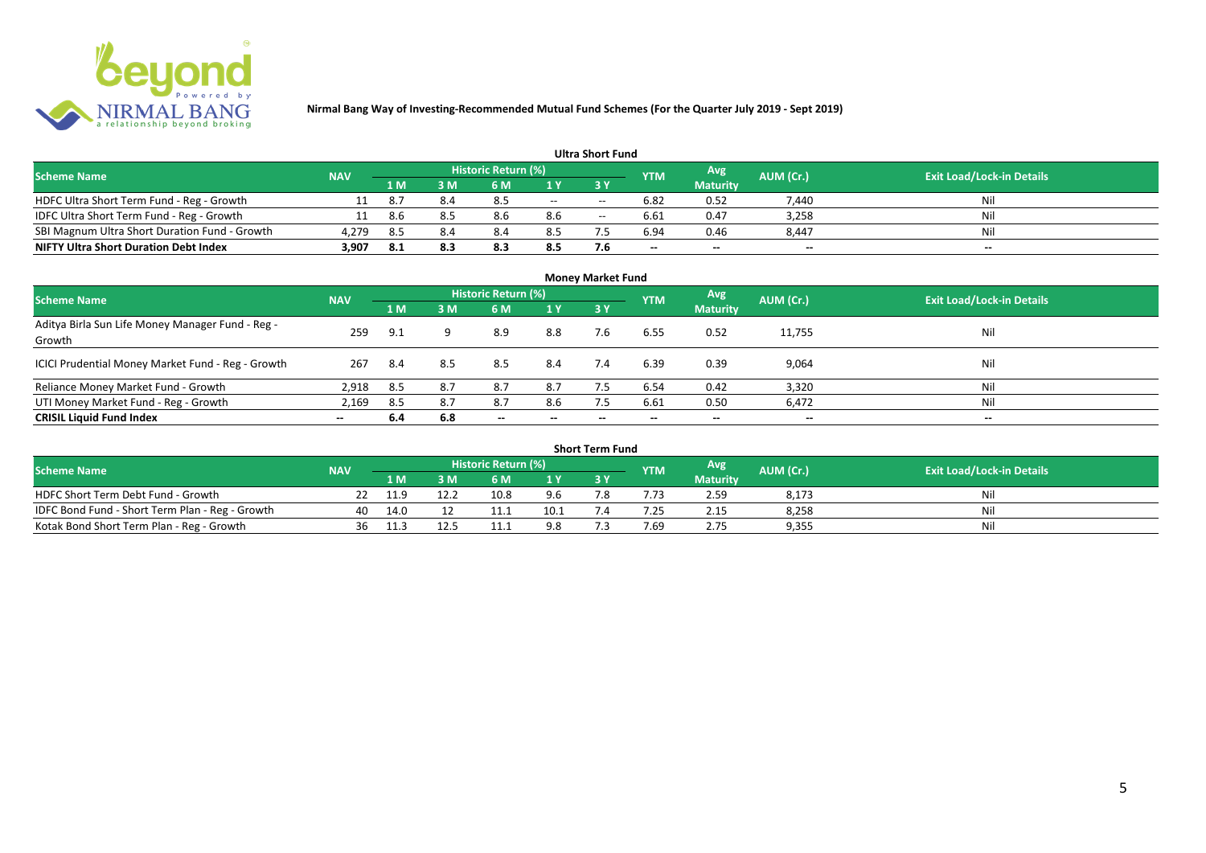

| <b>Ultra Short Fund</b>                       |            |     |     |                     |       |       |            |                 |                          |                                  |  |  |  |  |
|-----------------------------------------------|------------|-----|-----|---------------------|-------|-------|------------|-----------------|--------------------------|----------------------------------|--|--|--|--|
| <b>Scheme Name</b>                            | <b>NAV</b> |     |     | Historic Return (%) |       |       | <b>YTM</b> | Avg             | AUM (Cr.)                | <b>Exit Load/Lock-in Details</b> |  |  |  |  |
|                                               |            | 1 M | sм  | 6 M                 |       |       |            | <b>Maturity</b> |                          |                                  |  |  |  |  |
| HDFC Ultra Short Term Fund - Reg - Growth     | 11         | 8.7 | 8.4 | 8.5                 | $- -$ | $- -$ | 6.82       | 0.52            | 7.440                    | Nil                              |  |  |  |  |
| IDFC Ultra Short Term Fund - Reg - Growth     | 11         | 8.6 | 8.5 | 8.6                 | 8.6   | $- -$ | 6.61       | 0.47            | 3,258                    | Nil                              |  |  |  |  |
| SBI Magnum Ultra Short Duration Fund - Growth | 4,279      | 8.5 | 8.4 | 8.4                 | 8.5   |       | 6.94       | 0.46            | 8,447                    | Nil                              |  |  |  |  |
| <b>NIFTY Ultra Short Duration Debt Index</b>  | 3,907      | 8.1 |     | 8.3                 | 8.5   | 7.6   | $- -$      | --              | $\overline{\phantom{a}}$ | $\overline{\phantom{a}}$         |  |  |  |  |

| <b>Money Market Fund</b>                                   |            |      |     |                            |                          |           |            |                 |                          |                                  |  |  |  |
|------------------------------------------------------------|------------|------|-----|----------------------------|--------------------------|-----------|------------|-----------------|--------------------------|----------------------------------|--|--|--|
| <b>Scheme Name</b>                                         | <b>NAV</b> |      |     | <b>Historic Return (%)</b> |                          |           | <b>YTM</b> | Avg             | AUM (Cr.)                | <b>Exit Load/Lock-in Details</b> |  |  |  |
|                                                            |            | 1 M  | 3M  | 6 M                        | 1Y                       | <b>3Y</b> |            | <b>Maturity</b> |                          |                                  |  |  |  |
| Aditya Birla Sun Life Money Manager Fund - Reg -<br>Growth | 259        | 9.1  |     | 8.9                        | 8.8                      | 7.6       | 6.55       | 0.52            | 11,755                   | Nil                              |  |  |  |
| ICICI Prudential Money Market Fund - Reg - Growth          | 267        | -8.4 | 8.5 | 8.5                        | 8.4                      | 7.4       | 6.39       | 0.39            | 9,064                    | Nil                              |  |  |  |
| Reliance Money Market Fund - Growth                        | 2,918      | 8.5  | 8.7 | 8.7                        | 8.7                      |           | 6.54       | 0.42            | 3,320                    | Nil                              |  |  |  |
| UTI Money Market Fund - Reg - Growth                       | 2,169      | 8.5  | 8.7 | 8.7                        | 8.6                      | 7.5       | 6.61       | 0.50            | 6,472                    | Nil                              |  |  |  |
| <b>CRISIL Liquid Fund Index</b>                            | $- -$      | 6.4  | 6.8 | $\overline{\phantom{a}}$   | $\overline{\phantom{a}}$ | $\!-$     | $\!-$      | $\sim$          | $\overline{\phantom{a}}$ | $\overline{\phantom{a}}$         |  |  |  |

| Short Term Fund                                 |            |      |      |                     |      |     |            |                 |           |                                  |  |  |  |
|-------------------------------------------------|------------|------|------|---------------------|------|-----|------------|-----------------|-----------|----------------------------------|--|--|--|
| <b>Scheme Name</b>                              | <b>NAV</b> |      |      | Historic Return (%) |      |     | <b>YTM</b> | Avg             | AUM (Cr.) | <b>Exit Load/Lock-in Details</b> |  |  |  |
|                                                 |            | 1 M  |      | 6 M                 | 1 V  |     |            | <b>Maturity</b> |           |                                  |  |  |  |
| HDFC Short Term Debt Fund - Growth              |            | 11.9 | 12.2 | 10.8                | 9.6  | ¬ ∩ |            | 2.59            | 8,173     | Nil                              |  |  |  |
| IDFC Bond Fund - Short Term Plan - Reg - Growth | 40         | 14.0 |      | 11.1                | 10.1 |     | .25        | 2.15            | 8,258     | Nil                              |  |  |  |
| Kotak Bond Short Term Plan - Reg - Growth       | 36         |      | 12.5 |                     | -9.8 |     | 7.69       | 2.75            | 9,355     | Nil                              |  |  |  |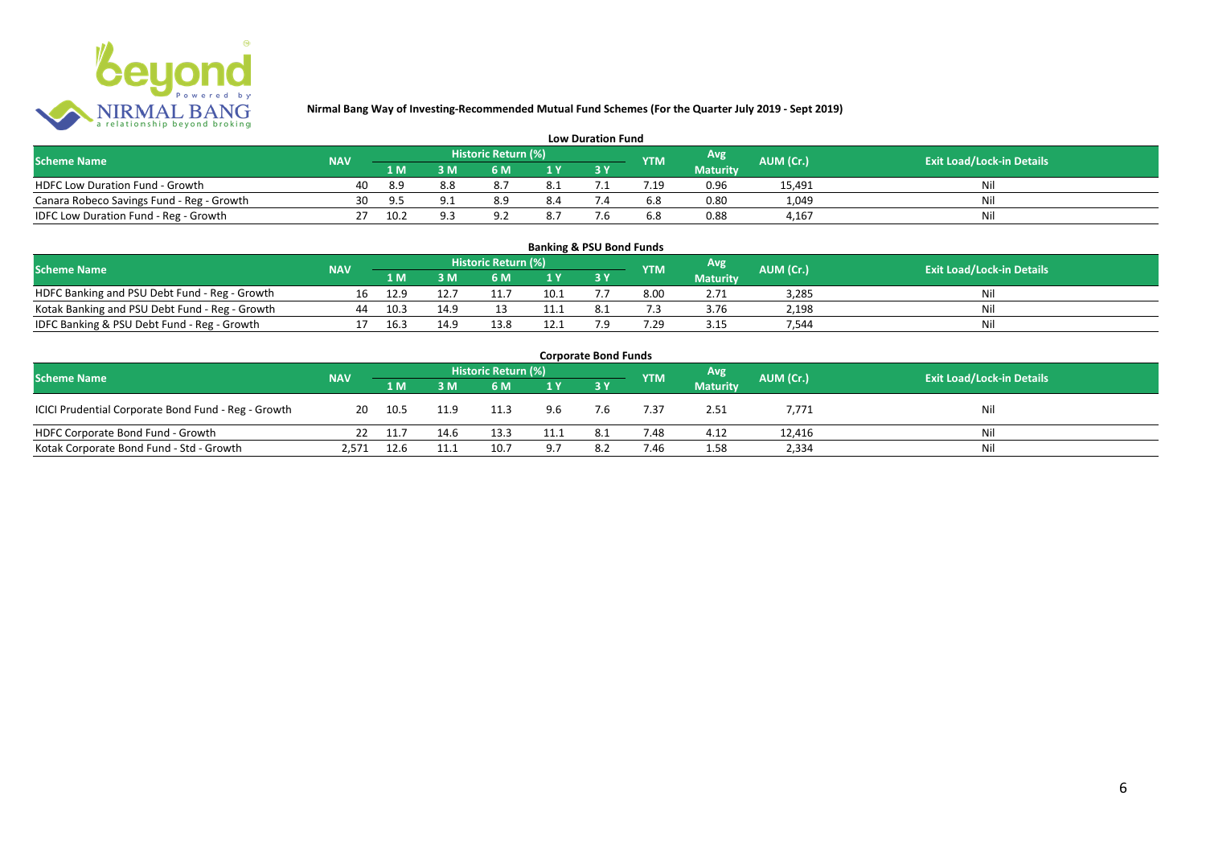

| <b>Low Duration Fund</b>                  |            |      |     |                     |      |  |            |                 |           |                                  |  |  |  |  |
|-------------------------------------------|------------|------|-----|---------------------|------|--|------------|-----------------|-----------|----------------------------------|--|--|--|--|
| <b>Scheme Name</b>                        | <b>NAV</b> |      |     | Historic Return (%) |      |  | <b>YTM</b> | Avg             | AUM (Cr.) | <b>Exit Load/Lock-in Details</b> |  |  |  |  |
|                                           |            | 1 M  |     | 6 M                 |      |  |            | <b>Maturity</b> |           |                                  |  |  |  |  |
| <b>HDFC Low Duration Fund - Growth</b>    | 40         | 8.9  | 8.8 |                     | -8.1 |  |            | 0.96            | 15,491    | Nli                              |  |  |  |  |
| Canara Robeco Savings Fund - Reg - Growth | 30         |      | Q 1 | 8.9                 | 8.4  |  | 6.8        | 0.80            | 1,049     | Ni                               |  |  |  |  |
| IDFC Low Duration Fund - Reg - Growth     |            | 10.2 | a a |                     |      |  | 6.8        | 0.88            | 4.167     | Ni                               |  |  |  |  |

#### **1 M 3 M 6 M 1 Y 3 Y** NOFC Banking and PSU Debt Fund - Reg - Growth 16 12.9 12.7 11.7 10.1 7.7 8.00 2.71 3,285 Nil<br>
Kotak Banking and PSU Debt Fund - Reg - Growth 44 10.3 14.9 13 11.1 8.1 7.3 3.76 2,198 Nil Notak Banking and PSU Debt Fund - Reg - Growth <br>
1991 - Ann and PSU Debt Fund - Reg - Growth 10.1 10.3 14.9 13.8 12.1 7.9 7.29 3.15 7.544 Nil IDFC Banking & PSU Debt Fund - Reg - Growth 17 16.3 14.9 13.8 12.1 7.9 7.29 3.15 7,544 Nil **Banking & PSU Bond Funds Scheme Name NAV REGISTER AUM (Cr.) AUM (Cr.)** Exit Load/Lock-in Details **Historic Return (%) Maturity**

| <b>Corporate Bond Funds</b>                         |            |         |      |                     |      |      |            |                 |           |                                  |  |  |  |  |
|-----------------------------------------------------|------------|---------|------|---------------------|------|------|------------|-----------------|-----------|----------------------------------|--|--|--|--|
| <b>Scheme Name</b>                                  | <b>NAV</b> |         |      | Historic Return (%) |      |      | <b>YTM</b> | Avg'            | AUM (Cr.) | <b>Exit Load/Lock-in Details</b> |  |  |  |  |
|                                                     |            | 1 M     | 3 M  | 6 M                 | 1Y   |      |            | <b>Maturity</b> |           |                                  |  |  |  |  |
| ICICI Prudential Corporate Bond Fund - Reg - Growth | 20         | - 10.5  | 11.9 | 11.3                | 9.6  | 7.6  | 7.37       | 2.51            | 7,771     | Nil                              |  |  |  |  |
| HDFC Corporate Bond Fund - Growth                   |            | 22 11.7 | 14.6 | 13.3                | 11.1 | -8.1 | 7.48       | 4.12            | 12,416    | Ni                               |  |  |  |  |
| Kotak Corporate Bond Fund - Std - Growth            | 2,571      | 12.6    | 11.1 | 10.7                | 9.7  | 8.2  | 7.46       | 1.58            | 2,334     | Ni                               |  |  |  |  |